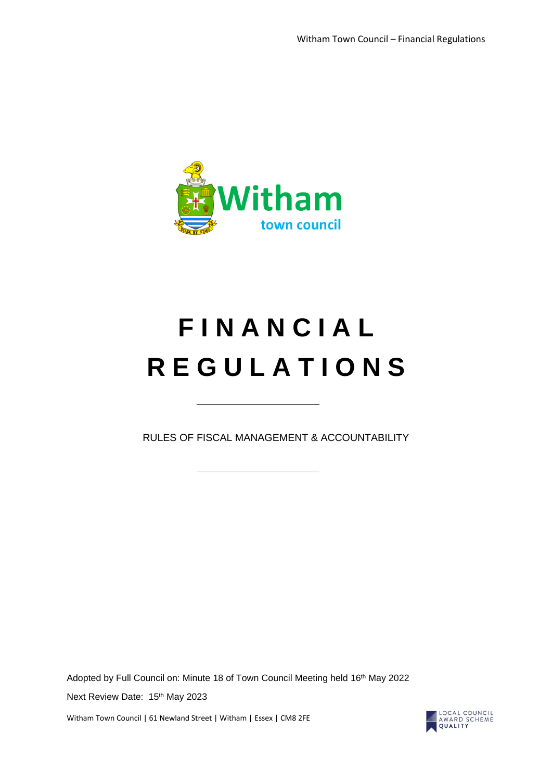

# **F I N A N C I A L R E G U L A T I O N S**

RULES OF FISCAL MANAGEMENT & ACCOUNTABILITY

Adopted by Full Council on: Minute 18 of Town Council Meeting held 16th May 2022 Next Review Date: 15<sup>th</sup> May 2023

Witham Town Council | 61 Newland Street | Witham | Essex | CM8 2FE

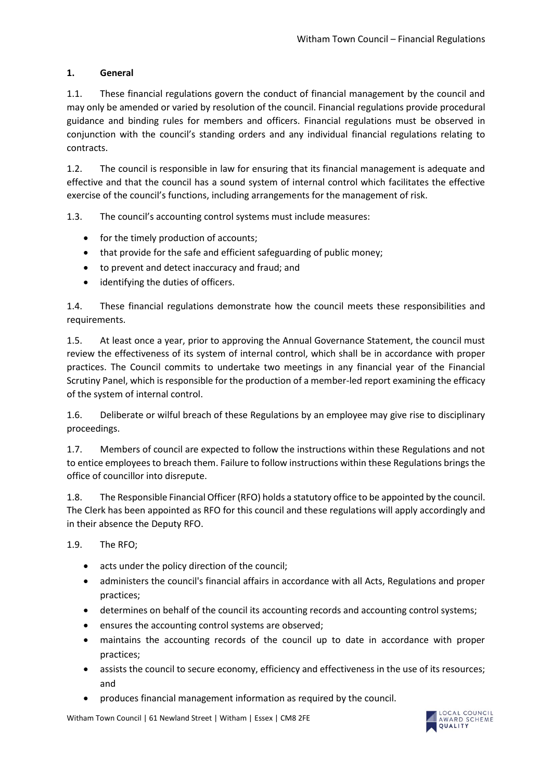# **1. General**

1.1. These financial regulations govern the conduct of financial management by the council and may only be amended or varied by resolution of the council. Financial regulations provide procedural guidance and binding rules for members and officers. Financial regulations must be observed in conjunction with the council's standing orders and any individual financial regulations relating to contracts.

1.2. The council is responsible in law for ensuring that its financial management is adequate and effective and that the council has a sound system of internal control which facilitates the effective exercise of the council's functions, including arrangements for the management of risk.

1.3. The council's accounting control systems must include measures:

- for the timely production of accounts;
- that provide for the safe and efficient safeguarding of public money;
- to prevent and detect inaccuracy and fraud; and
- identifying the duties of officers.

1.4. These financial regulations demonstrate how the council meets these responsibilities and requirements.

1.5. At least once a year, prior to approving the Annual Governance Statement, the council must review the effectiveness of its system of internal control, which shall be in accordance with proper practices. The Council commits to undertake two meetings in any financial year of the Financial Scrutiny Panel, which is responsible for the production of a member-led report examining the efficacy of the system of internal control.

1.6. Deliberate or wilful breach of these Regulations by an employee may give rise to disciplinary proceedings.

1.7. Members of council are expected to follow the instructions within these Regulations and not to entice employees to breach them. Failure to follow instructions within these Regulations brings the office of councillor into disrepute.

1.8. The Responsible Financial Officer (RFO) holds a statutory office to be appointed by the council. The Clerk has been appointed as RFO for this council and these regulations will apply accordingly and in their absence the Deputy RFO.

1.9. The RFO;

- acts under the policy direction of the council;
- administers the council's financial affairs in accordance with all Acts, Regulations and proper practices;
- determines on behalf of the council its accounting records and accounting control systems;
- ensures the accounting control systems are observed;
- maintains the accounting records of the council up to date in accordance with proper practices;
- assists the council to secure economy, efficiency and effectiveness in the use of its resources; and
- produces financial management information as required by the council.

Witham Town Council | 61 Newland Street | Witham | Essex | CM8 2FE

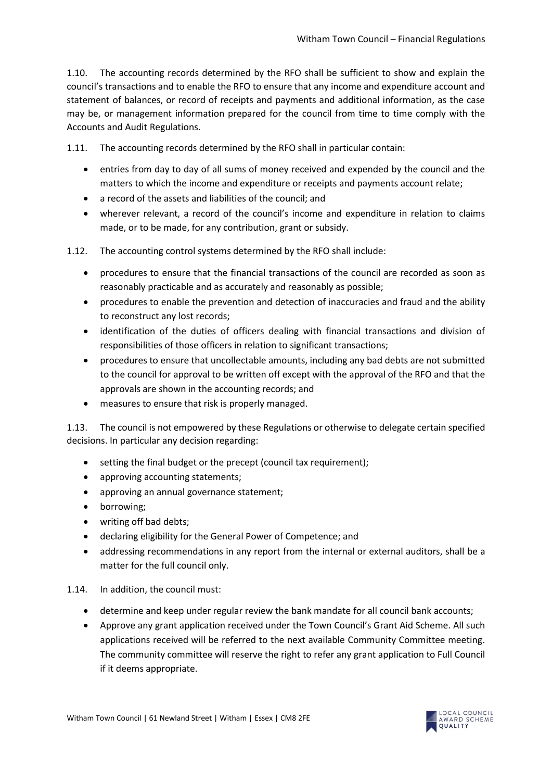1.10. The accounting records determined by the RFO shall be sufficient to show and explain the council's transactions and to enable the RFO to ensure that any income and expenditure account and statement of balances, or record of receipts and payments and additional information, as the case may be, or management information prepared for the council from time to time comply with the Accounts and Audit Regulations.

1.11. The accounting records determined by the RFO shall in particular contain:

- entries from day to day of all sums of money received and expended by the council and the matters to which the income and expenditure or receipts and payments account relate;
- a record of the assets and liabilities of the council; and
- wherever relevant, a record of the council's income and expenditure in relation to claims made, or to be made, for any contribution, grant or subsidy.

1.12. The accounting control systems determined by the RFO shall include:

- procedures to ensure that the financial transactions of the council are recorded as soon as reasonably practicable and as accurately and reasonably as possible;
- procedures to enable the prevention and detection of inaccuracies and fraud and the ability to reconstruct any lost records;
- identification of the duties of officers dealing with financial transactions and division of responsibilities of those officers in relation to significant transactions;
- procedures to ensure that uncollectable amounts, including any bad debts are not submitted to the council for approval to be written off except with the approval of the RFO and that the approvals are shown in the accounting records; and
- measures to ensure that risk is properly managed.

1.13. The council is not empowered by these Regulations or otherwise to delegate certain specified decisions. In particular any decision regarding:

- setting the final budget or the precept (council tax requirement);
- approving accounting statements;
- approving an annual governance statement;
- borrowing;
- writing off bad debts;
- declaring eligibility for the General Power of Competence; and
- addressing recommendations in any report from the internal or external auditors, shall be a matter for the full council only.
- 1.14. In addition, the council must:
	- determine and keep under regular review the bank mandate for all council bank accounts;
	- Approve any grant application received under the Town Council's Grant Aid Scheme. All such applications received will be referred to the next available Community Committee meeting. The community committee will reserve the right to refer any grant application to Full Council if it deems appropriate.

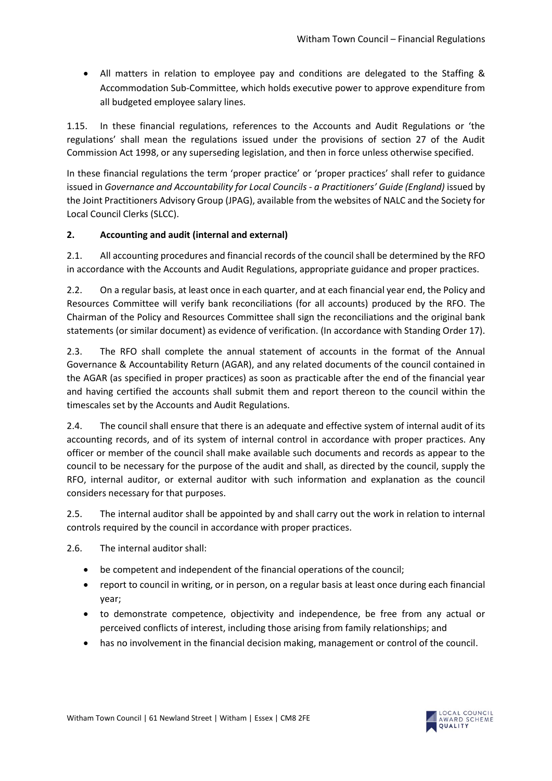• All matters in relation to employee pay and conditions are delegated to the Staffing & Accommodation Sub-Committee, which holds executive power to approve expenditure from all budgeted employee salary lines.

1.15. In these financial regulations, references to the Accounts and Audit Regulations or 'the regulations' shall mean the regulations issued under the provisions of section 27 of the Audit Commission Act 1998, or any superseding legislation, and then in force unless otherwise specified.

In these financial regulations the term 'proper practice' or 'proper practices' shall refer to guidance issued in *Governance and Accountability for Local Councils - a Practitioners' Guide (England)* issued by the Joint Practitioners Advisory Group (JPAG), available from the websites of NALC and the Society for Local Council Clerks (SLCC).

# **2. Accounting and audit (internal and external)**

2.1. All accounting procedures and financial records of the council shall be determined by the RFO in accordance with the Accounts and Audit Regulations, appropriate guidance and proper practices.

2.2. On a regular basis, at least once in each quarter, and at each financial year end, the Policy and Resources Committee will verify bank reconciliations (for all accounts) produced by the RFO. The Chairman of the Policy and Resources Committee shall sign the reconciliations and the original bank statements (or similar document) as evidence of verification. (In accordance with Standing Order 17).

2.3. The RFO shall complete the annual statement of accounts in the format of the Annual Governance & Accountability Return (AGAR), and any related documents of the council contained in the AGAR (as specified in proper practices) as soon as practicable after the end of the financial year and having certified the accounts shall submit them and report thereon to the council within the timescales set by the Accounts and Audit Regulations.

2.4. The council shall ensure that there is an adequate and effective system of internal audit of its accounting records, and of its system of internal control in accordance with proper practices. Any officer or member of the council shall make available such documents and records as appear to the council to be necessary for the purpose of the audit and shall, as directed by the council, supply the RFO, internal auditor, or external auditor with such information and explanation as the council considers necessary for that purposes.

2.5. The internal auditor shall be appointed by and shall carry out the work in relation to internal controls required by the council in accordance with proper practices.

2.6. The internal auditor shall:

- be competent and independent of the financial operations of the council;
- report to council in writing, or in person, on a regular basis at least once during each financial year;
- to demonstrate competence, objectivity and independence, be free from any actual or perceived conflicts of interest, including those arising from family relationships; and
- has no involvement in the financial decision making, management or control of the council.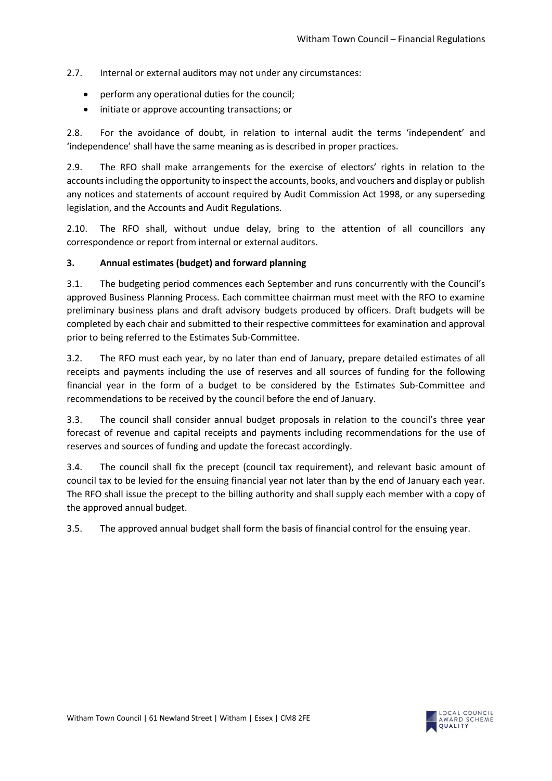2.7. Internal or external auditors may not under any circumstances:

- perform any operational duties for the council;
- initiate or approve accounting transactions; or

2.8. For the avoidance of doubt, in relation to internal audit the terms 'independent' and 'independence' shall have the same meaning as is described in proper practices.

2.9. The RFO shall make arrangements for the exercise of electors' rights in relation to the accounts including the opportunity to inspect the accounts, books, and vouchers and display or publish any notices and statements of account required by Audit Commission Act 1998, or any superseding legislation, and the Accounts and Audit Regulations.

2.10. The RFO shall, without undue delay, bring to the attention of all councillors any correspondence or report from internal or external auditors.

#### **3. Annual estimates (budget) and forward planning**

3.1. The budgeting period commences each September and runs concurrently with the Council's approved Business Planning Process. Each committee chairman must meet with the RFO to examine preliminary business plans and draft advisory budgets produced by officers. Draft budgets will be completed by each chair and submitted to their respective committees for examination and approval prior to being referred to the Estimates Sub-Committee.

3.2. The RFO must each year, by no later than end of January, prepare detailed estimates of all receipts and payments including the use of reserves and all sources of funding for the following financial year in the form of a budget to be considered by the Estimates Sub-Committee and recommendations to be received by the council before the end of January.

3.3. The council shall consider annual budget proposals in relation to the council's three year forecast of revenue and capital receipts and payments including recommendations for the use of reserves and sources of funding and update the forecast accordingly.

3.4. The council shall fix the precept (council tax requirement), and relevant basic amount of council tax to be levied for the ensuing financial year not later than by the end of January each year. The RFO shall issue the precept to the billing authority and shall supply each member with a copy of the approved annual budget.

3.5. The approved annual budget shall form the basis of financial control for the ensuing year.

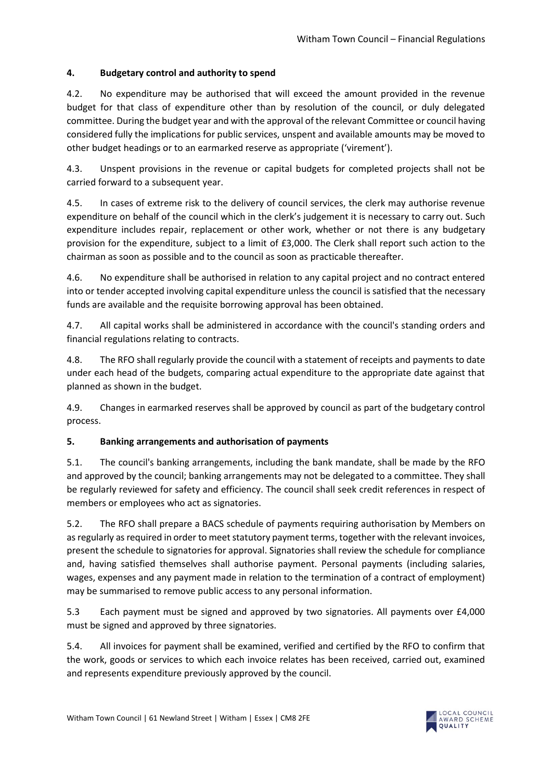## **4. Budgetary control and authority to spend**

4.2. No expenditure may be authorised that will exceed the amount provided in the revenue budget for that class of expenditure other than by resolution of the council, or duly delegated committee. During the budget year and with the approval of the relevant Committee or council having considered fully the implications for public services, unspent and available amounts may be moved to other budget headings or to an earmarked reserve as appropriate ('virement').

4.3. Unspent provisions in the revenue or capital budgets for completed projects shall not be carried forward to a subsequent year.

4.5. In cases of extreme risk to the delivery of council services, the clerk may authorise revenue expenditure on behalf of the council which in the clerk's judgement it is necessary to carry out. Such expenditure includes repair, replacement or other work, whether or not there is any budgetary provision for the expenditure, subject to a limit of £3,000. The Clerk shall report such action to the chairman as soon as possible and to the council as soon as practicable thereafter.

4.6. No expenditure shall be authorised in relation to any capital project and no contract entered into or tender accepted involving capital expenditure unless the council is satisfied that the necessary funds are available and the requisite borrowing approval has been obtained.

4.7. All capital works shall be administered in accordance with the council's standing orders and financial regulations relating to contracts.

4.8. The RFO shall regularly provide the council with a statement of receipts and payments to date under each head of the budgets, comparing actual expenditure to the appropriate date against that planned as shown in the budget.

4.9. Changes in earmarked reserves shall be approved by council as part of the budgetary control process.

## **5. Banking arrangements and authorisation of payments**

5.1. The council's banking arrangements, including the bank mandate, shall be made by the RFO and approved by the council; banking arrangements may not be delegated to a committee. They shall be regularly reviewed for safety and efficiency. The council shall seek credit references in respect of members or employees who act as signatories.

5.2. The RFO shall prepare a BACS schedule of payments requiring authorisation by Members on as regularly as required in order to meet statutory payment terms, together with the relevant invoices, present the schedule to signatories for approval. Signatories shall review the schedule for compliance and, having satisfied themselves shall authorise payment. Personal payments (including salaries, wages, expenses and any payment made in relation to the termination of a contract of employment) may be summarised to remove public access to any personal information.

5.3 Each payment must be signed and approved by two signatories. All payments over £4,000 must be signed and approved by three signatories.

5.4. All invoices for payment shall be examined, verified and certified by the RFO to confirm that the work, goods or services to which each invoice relates has been received, carried out, examined and represents expenditure previously approved by the council.

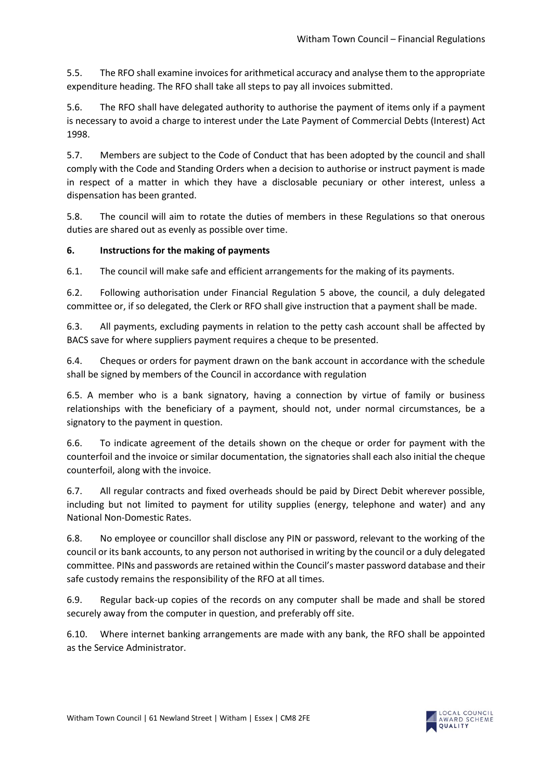5.5. The RFO shall examine invoices for arithmetical accuracy and analyse them to the appropriate expenditure heading. The RFO shall take all steps to pay all invoices submitted.

5.6. The RFO shall have delegated authority to authorise the payment of items only if a payment is necessary to avoid a charge to interest under the Late Payment of Commercial Debts (Interest) Act 1998.

5.7. Members are subject to the Code of Conduct that has been adopted by the council and shall comply with the Code and Standing Orders when a decision to authorise or instruct payment is made in respect of a matter in which they have a disclosable pecuniary or other interest, unless a dispensation has been granted.

5.8. The council will aim to rotate the duties of members in these Regulations so that onerous duties are shared out as evenly as possible over time.

## **6. Instructions for the making of payments**

6.1. The council will make safe and efficient arrangements for the making of its payments.

6.2. Following authorisation under Financial Regulation 5 above, the council, a duly delegated committee or, if so delegated, the Clerk or RFO shall give instruction that a payment shall be made.

6.3. All payments, excluding payments in relation to the petty cash account shall be affected by BACS save for where suppliers payment requires a cheque to be presented.

6.4. Cheques or orders for payment drawn on the bank account in accordance with the schedule shall be signed by members of the Council in accordance with regulation

6.5. A member who is a bank signatory, having a connection by virtue of family or business relationships with the beneficiary of a payment, should not, under normal circumstances, be a signatory to the payment in question.

6.6. To indicate agreement of the details shown on the cheque or order for payment with the counterfoil and the invoice or similar documentation, the signatories shall each also initial the cheque counterfoil, along with the invoice.

6.7. All regular contracts and fixed overheads should be paid by Direct Debit wherever possible, including but not limited to payment for utility supplies (energy, telephone and water) and any National Non-Domestic Rates.

6.8. No employee or councillor shall disclose any PIN or password, relevant to the working of the council or its bank accounts, to any person not authorised in writing by the council or a duly delegated committee. PINs and passwords are retained within the Council's master password database and their safe custody remains the responsibility of the RFO at all times.

6.9. Regular back-up copies of the records on any computer shall be made and shall be stored securely away from the computer in question, and preferably off site.

6.10. Where internet banking arrangements are made with any bank, the RFO shall be appointed as the Service Administrator.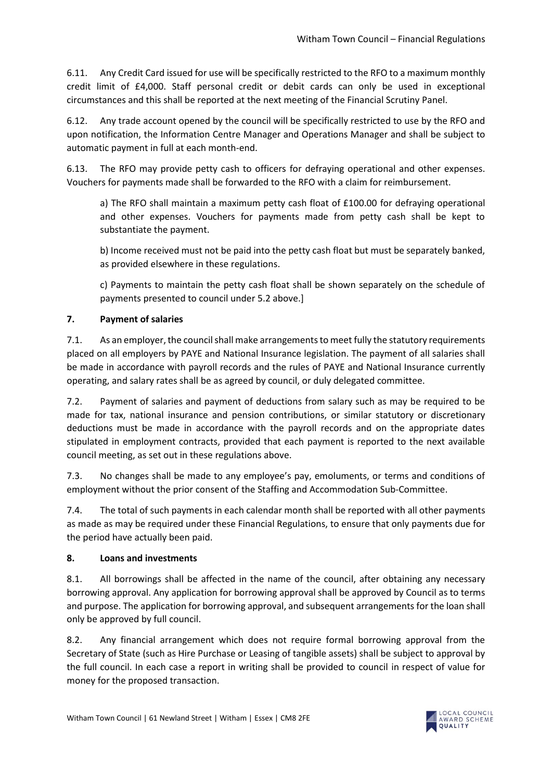6.11. Any Credit Card issued for use will be specifically restricted to the RFO to a maximum monthly credit limit of £4,000. Staff personal credit or debit cards can only be used in exceptional circumstances and this shall be reported at the next meeting of the Financial Scrutiny Panel.

6.12. Any trade account opened by the council will be specifically restricted to use by the RFO and upon notification, the Information Centre Manager and Operations Manager and shall be subject to automatic payment in full at each month-end.

6.13. The RFO may provide petty cash to officers for defraying operational and other expenses. Vouchers for payments made shall be forwarded to the RFO with a claim for reimbursement.

a) The RFO shall maintain a maximum petty cash float of £100.00 for defraying operational and other expenses. Vouchers for payments made from petty cash shall be kept to substantiate the payment.

b) Income received must not be paid into the petty cash float but must be separately banked, as provided elsewhere in these regulations.

c) Payments to maintain the petty cash float shall be shown separately on the schedule of payments presented to council under 5.2 above.]

# **7. Payment of salaries**

7.1. As an employer, the council shall make arrangements to meet fully the statutory requirements placed on all employers by PAYE and National Insurance legislation. The payment of all salaries shall be made in accordance with payroll records and the rules of PAYE and National Insurance currently operating, and salary rates shall be as agreed by council, or duly delegated committee.

7.2. Payment of salaries and payment of deductions from salary such as may be required to be made for tax, national insurance and pension contributions, or similar statutory or discretionary deductions must be made in accordance with the payroll records and on the appropriate dates stipulated in employment contracts, provided that each payment is reported to the next available council meeting, as set out in these regulations above.

7.3. No changes shall be made to any employee's pay, emoluments, or terms and conditions of employment without the prior consent of the Staffing and Accommodation Sub-Committee.

7.4. The total of such payments in each calendar month shall be reported with all other payments as made as may be required under these Financial Regulations, to ensure that only payments due for the period have actually been paid.

## **8. Loans and investments**

8.1. All borrowings shall be affected in the name of the council, after obtaining any necessary borrowing approval. Any application for borrowing approval shall be approved by Council as to terms and purpose. The application for borrowing approval, and subsequent arrangements for the loan shall only be approved by full council.

8.2. Any financial arrangement which does not require formal borrowing approval from the Secretary of State (such as Hire Purchase or Leasing of tangible assets) shall be subject to approval by the full council. In each case a report in writing shall be provided to council in respect of value for money for the proposed transaction.

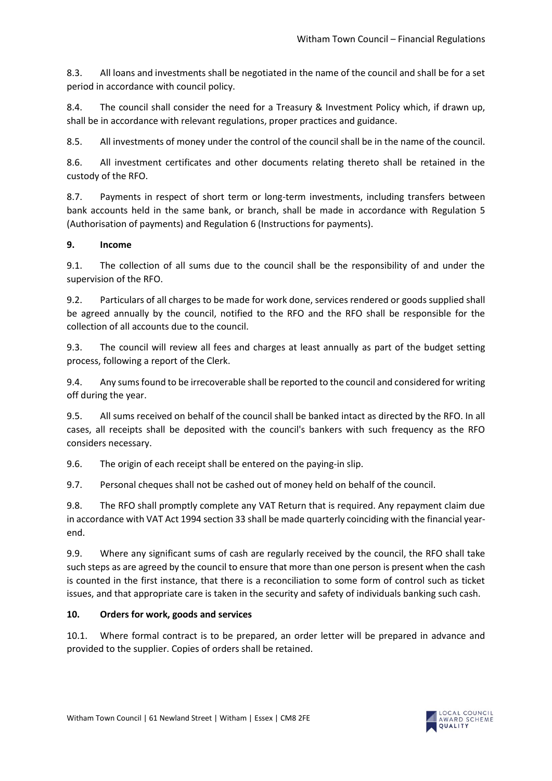8.3. All loans and investments shall be negotiated in the name of the council and shall be for a set period in accordance with council policy.

8.4. The council shall consider the need for a Treasury & Investment Policy which, if drawn up, shall be in accordance with relevant regulations, proper practices and guidance.

8.5. All investments of money under the control of the council shall be in the name of the council.

8.6. All investment certificates and other documents relating thereto shall be retained in the custody of the RFO.

8.7. Payments in respect of short term or long-term investments, including transfers between bank accounts held in the same bank, or branch, shall be made in accordance with Regulation 5 (Authorisation of payments) and Regulation 6 (Instructions for payments).

# **9. Income**

9.1. The collection of all sums due to the council shall be the responsibility of and under the supervision of the RFO.

9.2. Particulars of all charges to be made for work done, services rendered or goods supplied shall be agreed annually by the council, notified to the RFO and the RFO shall be responsible for the collection of all accounts due to the council.

9.3. The council will review all fees and charges at least annually as part of the budget setting process, following a report of the Clerk.

9.4. Any sums found to be irrecoverable shall be reported to the council and considered for writing off during the year.

9.5. All sums received on behalf of the council shall be banked intact as directed by the RFO. In all cases, all receipts shall be deposited with the council's bankers with such frequency as the RFO considers necessary.

9.6. The origin of each receipt shall be entered on the paying-in slip.

9.7. Personal cheques shall not be cashed out of money held on behalf of the council.

9.8. The RFO shall promptly complete any VAT Return that is required. Any repayment claim due in accordance with VAT Act 1994 section 33 shall be made quarterly coinciding with the financial yearend.

9.9. Where any significant sums of cash are regularly received by the council, the RFO shall take such steps as are agreed by the council to ensure that more than one person is present when the cash is counted in the first instance, that there is a reconciliation to some form of control such as ticket issues, and that appropriate care is taken in the security and safety of individuals banking such cash.

## **10. Orders for work, goods and services**

10.1. Where formal contract is to be prepared, an order letter will be prepared in advance and provided to the supplier. Copies of orders shall be retained.

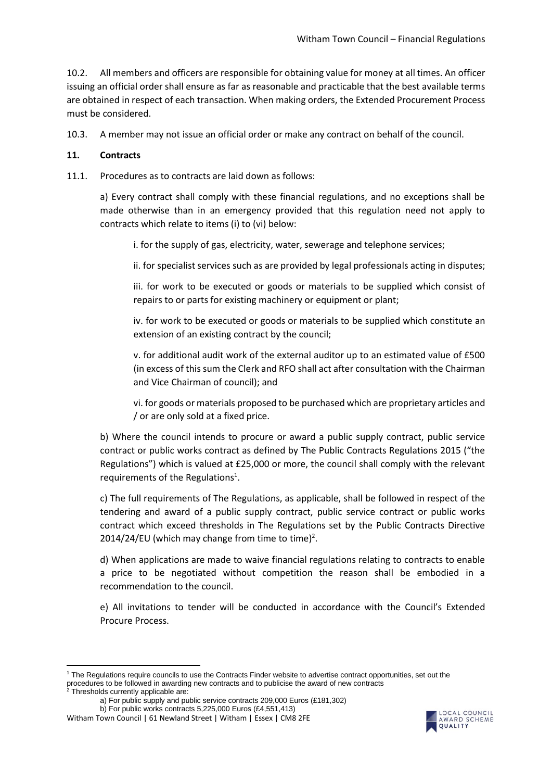10.2. All members and officers are responsible for obtaining value for money at all times. An officer issuing an official order shall ensure as far as reasonable and practicable that the best available terms are obtained in respect of each transaction. When making orders, the Extended Procurement Process must be considered.

10.3. A member may not issue an official order or make any contract on behalf of the council.

## **11. Contracts**

11.1. Procedures as to contracts are laid down as follows:

a) Every contract shall comply with these financial regulations, and no exceptions shall be made otherwise than in an emergency provided that this regulation need not apply to contracts which relate to items (i) to (vi) below:

i. for the supply of gas, electricity, water, sewerage and telephone services;

ii. for specialist services such as are provided by legal professionals acting in disputes;

iii. for work to be executed or goods or materials to be supplied which consist of repairs to or parts for existing machinery or equipment or plant;

iv. for work to be executed or goods or materials to be supplied which constitute an extension of an existing contract by the council;

v. for additional audit work of the external auditor up to an estimated value of £500 (in excess of this sum the Clerk and RFO shall act after consultation with the Chairman and Vice Chairman of council); and

vi. for goods or materials proposed to be purchased which are proprietary articles and / or are only sold at a fixed price.

b) Where the council intends to procure or award a public supply contract, public service contract or public works contract as defined by The Public Contracts Regulations 2015 ("the Regulations") which is valued at £25,000 or more, the council shall comply with the relevant requirements of the Regulations<sup>1</sup>.

c) The full requirements of The Regulations, as applicable, shall be followed in respect of the tendering and award of a public supply contract, public service contract or public works contract which exceed thresholds in The Regulations set by the Public Contracts Directive 2014/24/EU (which may change from time to time)<sup>2</sup>.

d) When applications are made to waive financial regulations relating to contracts to enable a price to be negotiated without competition the reason shall be embodied in a recommendation to the council.

e) All invitations to tender will be conducted in accordance with the Council's Extended Procure Process.



<sup>1</sup> The Regulations require councils to use the Contracts Finder website to advertise contract opportunities, set out the procedures to be followed in awarding new contracts and to publicise the award of new contracts

 $2$  Thresholds currently applicable are:

a) For public supply and public service contracts 209,000 Euros (£181,302)

b) For public works contracts 5,225,000 Euros (£4,551,413)

Witham Town Council | 61 Newland Street | Witham | Essex | CM8 2FE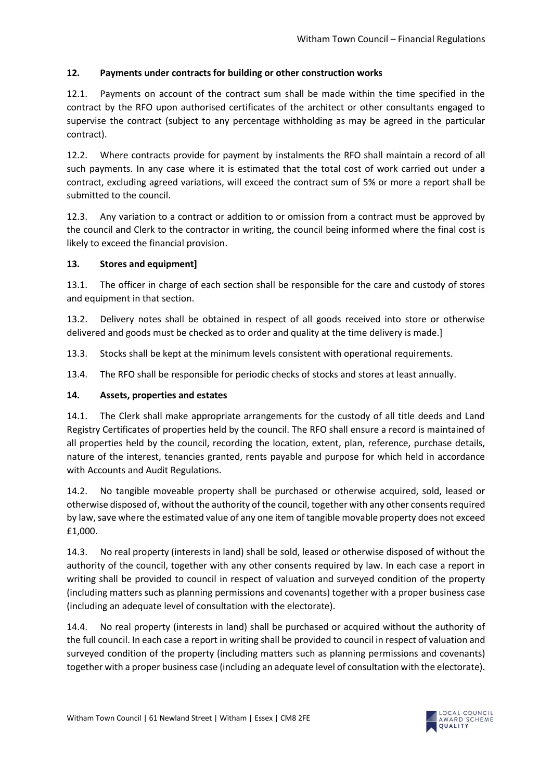## **12. Payments under contracts for building or other construction works**

12.1. Payments on account of the contract sum shall be made within the time specified in the contract by the RFO upon authorised certificates of the architect or other consultants engaged to supervise the contract (subject to any percentage withholding as may be agreed in the particular contract).

12.2. Where contracts provide for payment by instalments the RFO shall maintain a record of all such payments. In any case where it is estimated that the total cost of work carried out under a contract, excluding agreed variations, will exceed the contract sum of 5% or more a report shall be submitted to the council.

12.3. Any variation to a contract or addition to or omission from a contract must be approved by the council and Clerk to the contractor in writing, the council being informed where the final cost is likely to exceed the financial provision.

#### **13. Stores and equipment]**

13.1. The officer in charge of each section shall be responsible for the care and custody of stores and equipment in that section.

13.2. Delivery notes shall be obtained in respect of all goods received into store or otherwise delivered and goods must be checked as to order and quality at the time delivery is made.]

13.3. Stocks shall be kept at the minimum levels consistent with operational requirements.

13.4. The RFO shall be responsible for periodic checks of stocks and stores at least annually.

## **14. Assets, properties and estates**

14.1. The Clerk shall make appropriate arrangements for the custody of all title deeds and Land Registry Certificates of properties held by the council. The RFO shall ensure a record is maintained of all properties held by the council, recording the location, extent, plan, reference, purchase details, nature of the interest, tenancies granted, rents payable and purpose for which held in accordance with Accounts and Audit Regulations.

14.2. No tangible moveable property shall be purchased or otherwise acquired, sold, leased or otherwise disposed of, without the authority of the council, together with any other consents required by law, save where the estimated value of any one item of tangible movable property does not exceed £1,000.

14.3. No real property (interests in land) shall be sold, leased or otherwise disposed of without the authority of the council, together with any other consents required by law. In each case a report in writing shall be provided to council in respect of valuation and surveyed condition of the property (including matters such as planning permissions and covenants) together with a proper business case (including an adequate level of consultation with the electorate).

14.4. No real property (interests in land) shall be purchased or acquired without the authority of the full council. In each case a report in writing shall be provided to council in respect of valuation and surveyed condition of the property (including matters such as planning permissions and covenants) together with a proper business case (including an adequate level of consultation with the electorate).